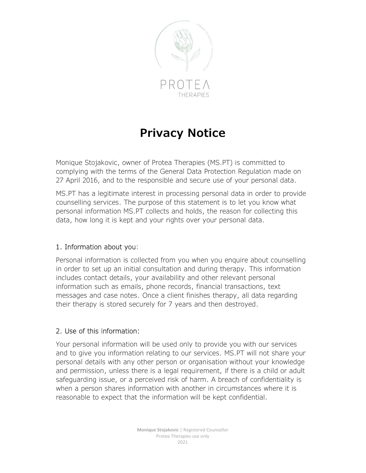

# Privacy Notice

Monique Stojakovic, owner of Protea Therapies (MS.PT) is committed to complying with the terms of the General Data Protection Regulation made on 27 April 2016, and to the responsible and secure use of your personal data.

MS.PT has a legitimate interest in processing personal data in order to provide counselling services. The purpose of this statement is to let you know what personal information MS.PT collects and holds, the reason for collecting this data, how long it is kept and your rights over your personal data.

### 1. Information about you:

Personal information is collected from you when you enquire about counselling in order to set up an initial consultation and during therapy. This information includes contact details, your availability and other relevant personal information such as emails, phone records, financial transactions, text messages and case notes. Once a client finishes therapy, all data regarding their therapy is stored securely for 7 years and then destroyed.

# 2. Use of this information:

Your personal information will be used only to provide you with our services and to give you information relating to our services. MS.PT will not share your personal details with any other person or organisation without your knowledge and permission, unless there is a legal requirement, if there is a child or adult safeguarding issue, or a perceived risk of harm. A breach of confidentiality is when a person shares information with another in circumstances where it is reasonable to expect that the information will be kept confidential.